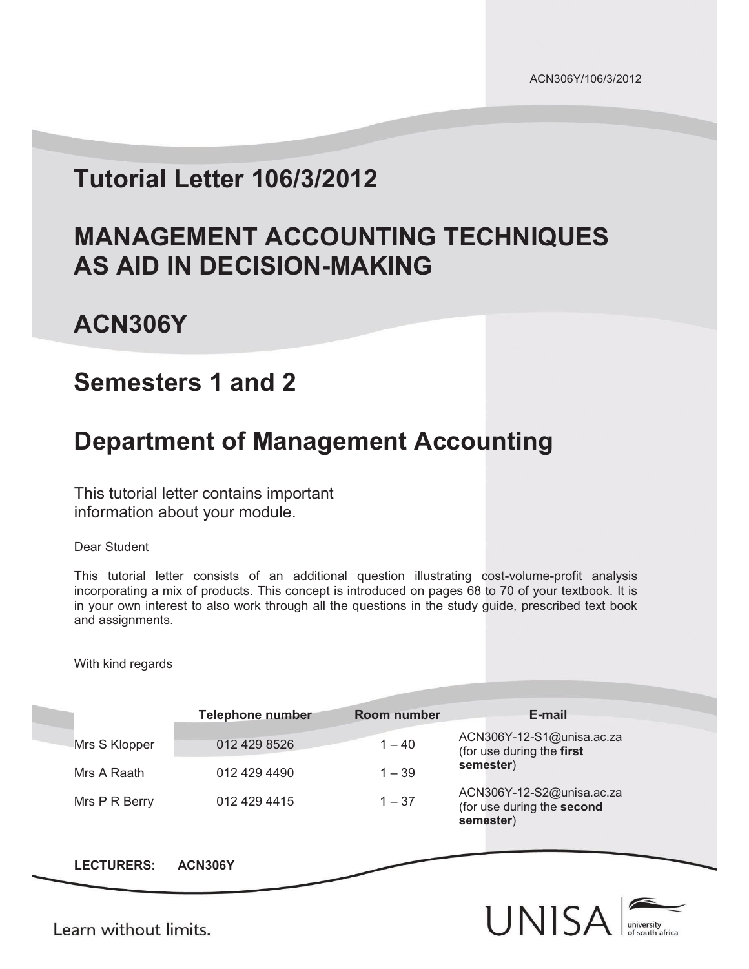# **Tutorial Letter 106/3/2012**

# **MANAGEMENT ACCOUNTING TECHNIQUES AS AID IN DECISION-MAKING**

**ACN306Y** 

## **Semesters 1 and 2**

# **Department of Management Accounting**

This tutorial letter contains important information about your module.

Dear Student

This tutorial letter consists of an additional question illustrating cost-volume-profit analysis incorporating a mix of products. This concept is introduced on pages 68 to 70 of your textbook. It is in your own interest to also work through all the questions in the study guide, prescribed text book and assignments.

With kind regards

|               | <b>Telephone number</b> | Room number | E-mail                                                               |
|---------------|-------------------------|-------------|----------------------------------------------------------------------|
| Mrs S Klopper | 012 429 8526            | $1 - 40$    | ACN306Y-12-S1@unisa.ac.za<br>(for use during the first               |
| Mrs A Raath   | 012 429 4490            | $1 - 39$    | semester)                                                            |
| Mrs P R Berry | 012 429 4415            | $1 - 37$    | ACN306Y-12-S2@unisa.ac.za<br>(for use during the second<br>semester) |



Learn without limits.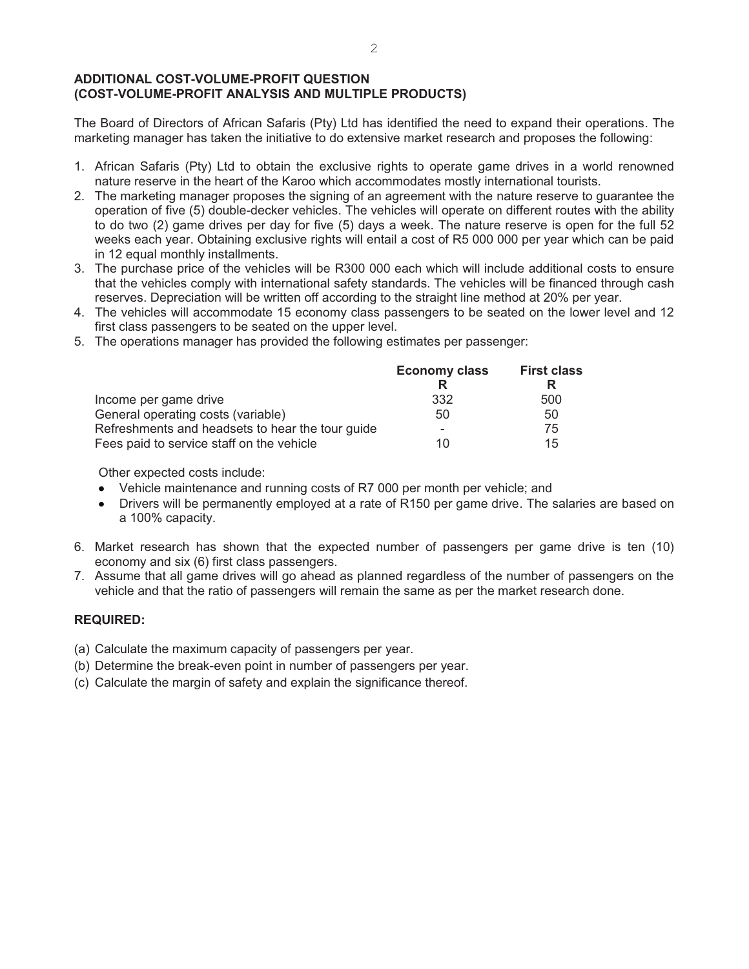#### **ADDITIONAL COST-VOLUME-PROFIT QUESTION (COST-VOLUME-PROFIT ANALYSIS AND MULTIPLE PRODUCTS)**

The Board of Directors of African Safaris (Pty) Ltd has identified the need to expand their operations. The marketing manager has taken the initiative to do extensive market research and proposes the following:

- 1. African Safaris (Pty) Ltd to obtain the exclusive rights to operate game drives in a world renowned nature reserve in the heart of the Karoo which accommodates mostly international tourists.
- 2. The marketing manager proposes the signing of an agreement with the nature reserve to guarantee the operation of five (5) double-decker vehicles. The vehicles will operate on different routes with the ability to do two (2) game drives per day for five (5) days a week. The nature reserve is open for the full 52 weeks each year. Obtaining exclusive rights will entail a cost of R5 000 000 per year which can be paid in 12 equal monthly installments.
- 3. The purchase price of the vehicles will be R300 000 each which will include additional costs to ensure that the vehicles comply with international safety standards. The vehicles will be financed through cash reserves. Depreciation will be written off according to the straight line method at 20% per year.
- 4. The vehicles will accommodate 15 economy class passengers to be seated on the lower level and 12 first class passengers to be seated on the upper level.
- 5. The operations manager has provided the following estimates per passenger:

|                                                  | <b>Economy class</b> | <b>First class</b> |  |
|--------------------------------------------------|----------------------|--------------------|--|
|                                                  |                      |                    |  |
| Income per game drive                            | 332                  | 500                |  |
| General operating costs (variable)               | 50                   | 50                 |  |
| Refreshments and headsets to hear the tour guide |                      | 75                 |  |
| Fees paid to service staff on the vehicle        | 10                   | 15                 |  |

Other expected costs include:

- Vehicle maintenance and running costs of R7 000 per month per vehicle; and
- Drivers will be permanently employed at a rate of R150 per game drive. The salaries are based on a 100% capacity.
- 6. Market research has shown that the expected number of passengers per game drive is ten (10) economy and six (6) first class passengers.
- 7. Assume that all game drives will go ahead as planned regardless of the number of passengers on the vehicle and that the ratio of passengers will remain the same as per the market research done.

### **REQUIRED:**

- (a) Calculate the maximum capacity of passengers per year.
- (b) Determine the break-even point in number of passengers per year.
- (c) Calculate the margin of safety and explain the significance thereof.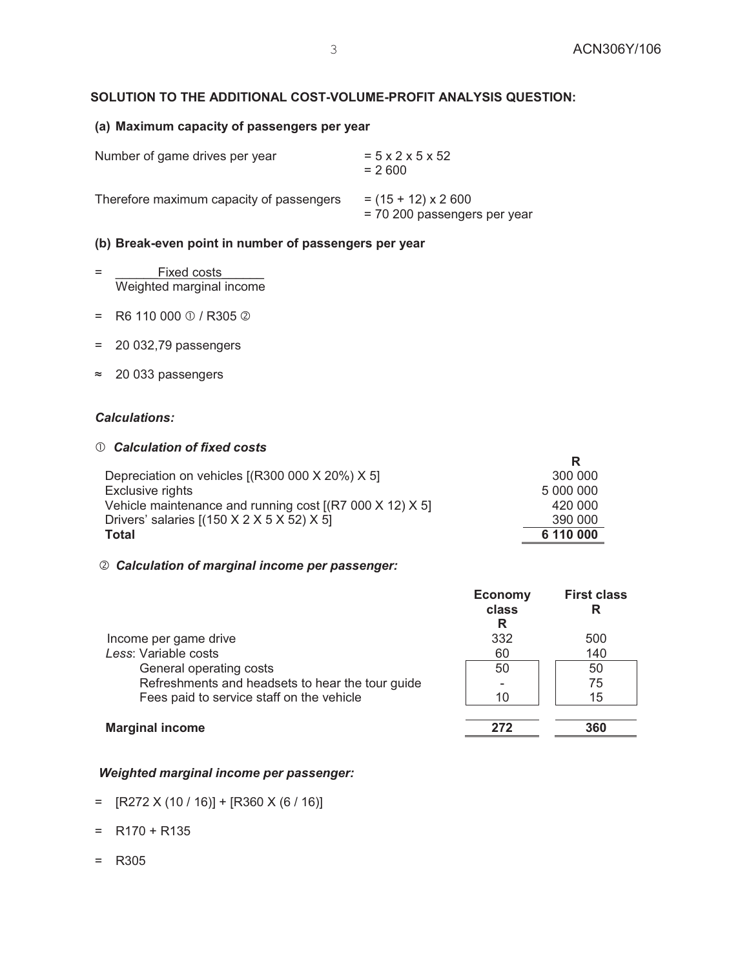#### **SOLUTION TO THE ADDITIONAL COST-VOLUME-PROFIT ANALYSIS QUESTION:**

#### **(a) Maximum capacity of passengers per year**

| Number of game drives per year           | $= 5 \times 2 \times 5 \times 52$<br>$= 2600$              |
|------------------------------------------|------------------------------------------------------------|
| Therefore maximum capacity of passengers | $= (15 + 12) \times 2600$<br>$= 70200$ passengers per year |

#### **(b) Break-even point in number of passengers per year**

- = \_\_\_\_\_\_Fixed costs\_\_\_\_\_\_ Weighted marginal income
- = R6 110 000  $\textcircled{1}$  / R305  $\textcircled{2}$
- = 20 032,79 passengers
- ≈ 20 033 passengers

#### *Calculations:*

#### *Calculation of fixed costs*

| Depreciation on vehicles $[(R300 000 X 20%) X 5]$                | 300 000   |
|------------------------------------------------------------------|-----------|
| Exclusive rights                                                 | 5 000 000 |
| Vehicle maintenance and running cost [(R7 000 X 12) X 5]         | 420 000   |
| Drivers' salaries $[(150 \times 2 \times 5 \times 52) \times 5]$ | 390 000   |
| Total                                                            | 6 110 000 |

#### - *Calculation of marginal income per passenger:*

|                                                  | <b>Economy</b><br>class<br>R | <b>First class</b> |
|--------------------------------------------------|------------------------------|--------------------|
| Income per game drive                            | 332                          | 500                |
| Less: Variable costs                             | 60                           | 140                |
| General operating costs                          | 50                           | 50                 |
| Refreshments and headsets to hear the tour guide |                              | 75                 |
| Fees paid to service staff on the vehicle        | 10                           | 15                 |
| <b>Marginal income</b>                           |                              | 360                |

#### *Weighted marginal income per passenger:*

- $=$  [R272 X (10 / 16)] + [R360 X (6 / 16)]
- $= R170 + R135$
- = R305